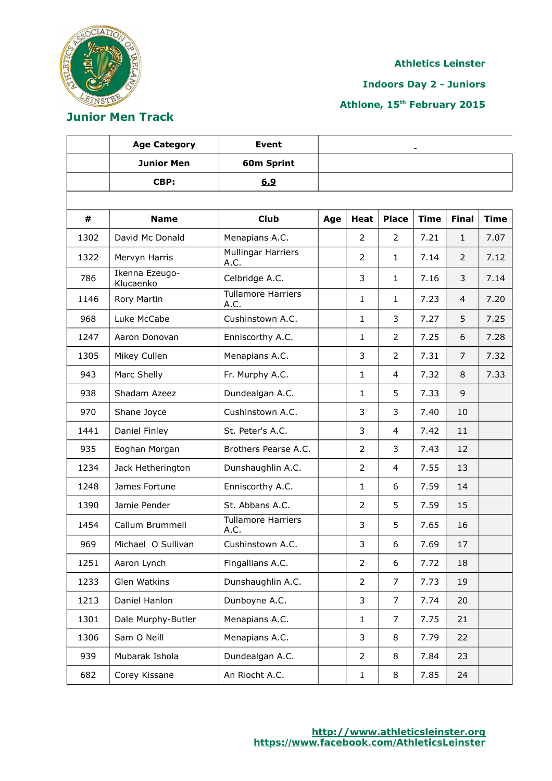

**Indoors Day 2 - Juniors**

**Athlone, 15th February 2015**

# **Junior Men Track**

|      | <b>Age Category</b>         | <b>Event</b>                      |     |                |                |             |                |             |
|------|-----------------------------|-----------------------------------|-----|----------------|----------------|-------------|----------------|-------------|
|      | <b>Junior Men</b>           | 60m Sprint                        |     |                |                |             |                |             |
|      | CBP:                        | 6.9                               |     |                |                |             |                |             |
|      |                             |                                   |     |                |                |             |                |             |
| #    | <b>Name</b>                 | <b>Club</b>                       | Age | <b>Heat</b>    | <b>Place</b>   | <b>Time</b> | <b>Final</b>   | <b>Time</b> |
| 1302 | David Mc Donald             | Menapians A.C.                    |     | 2              | $\overline{2}$ | 7.21        | $\mathbf{1}$   | 7.07        |
| 1322 | Mervyn Harris               | <b>Mullingar Harriers</b><br>A.C. |     | $\overline{2}$ | $\mathbf{1}$   | 7.14        | $\overline{2}$ | 7.12        |
| 786  | Ikenna Ezeugo-<br>Klucaenko | Celbridge A.C.                    |     | 3              | $\mathbf{1}$   | 7.16        | 3              | 7.14        |
| 1146 | Rory Martin                 | <b>Tullamore Harriers</b><br>A.C. |     | $\mathbf{1}$   | 1              | 7.23        | 4              | 7.20        |
| 968  | Luke McCabe                 | Cushinstown A.C.                  |     | $\mathbf{1}$   | 3              | 7.27        | 5              | 7.25        |
| 1247 | Aaron Donovan               | Enniscorthy A.C.                  |     | $\mathbf{1}$   | 2              | 7.25        | 6              | 7.28        |
| 1305 | Mikey Cullen                | Menapians A.C.                    |     | 3              | $\overline{2}$ | 7.31        | 7              | 7.32        |
| 943  | Marc Shelly                 | Fr. Murphy A.C.                   |     | $\mathbf{1}$   | $\overline{4}$ | 7.32        | 8              | 7.33        |
| 938  | Shadam Azeez                | Dundealgan A.C.                   |     | $\mathbf{1}$   | 5              | 7.33        | 9              |             |
| 970  | Shane Joyce                 | Cushinstown A.C.                  |     | 3              | 3              | 7.40        | 10             |             |
| 1441 | Daniel Finley               | St. Peter's A.C.                  |     | 3              | 4              | 7.42        | 11             |             |
| 935  | Eoghan Morgan               | Brothers Pearse A.C.              |     | $\overline{2}$ | 3              | 7.43        | 12             |             |
| 1234 | Jack Hetherington           | Dunshaughlin A.C.                 |     | $\overline{2}$ | 4              | 7.55        | 13             |             |
| 1248 | James Fortune               | Enniscorthy A.C.                  |     | $\mathbf{1}$   | 6              | 7.59        | 14             |             |
| 1390 | Jamie Pender                | St. Abbans A.C.                   |     | $\overline{2}$ | 5              | 7.59        | 15             |             |
| 1454 | Callum Brummell             | <b>Tullamore Harriers</b><br>A.C. |     | 3              | 5              | 7.65        | 16             |             |
| 969  | Michael O Sullivan          | Cushinstown A.C.                  |     | 3              | 6              | 7.69        | 17             |             |
| 1251 | Aaron Lynch                 | Fingallians A.C.                  |     | $\overline{2}$ | 6              | 7.72        | 18             |             |
| 1233 | Glen Watkins                | Dunshaughlin A.C.                 |     | $\overline{2}$ | $\overline{7}$ | 7.73        | 19             |             |
| 1213 | Daniel Hanlon               | Dunboyne A.C.                     |     | 3              | $\overline{7}$ | 7.74        | 20             |             |
| 1301 | Dale Murphy-Butler          | Menapians A.C.                    |     | $\mathbf{1}$   | 7              | 7.75        | 21             |             |
| 1306 | Sam O Neill                 | Menapians A.C.                    |     | 3              | 8              | 7.79        | 22             |             |
| 939  | Mubarak Ishola              | Dundealgan A.C.                   |     | $\overline{2}$ | 8              | 7.84        | 23             |             |
| 682  | Corey Kissane               | An Riocht A.C.                    |     | $\mathbf{1}$   | 8              | 7.85        | 24             |             |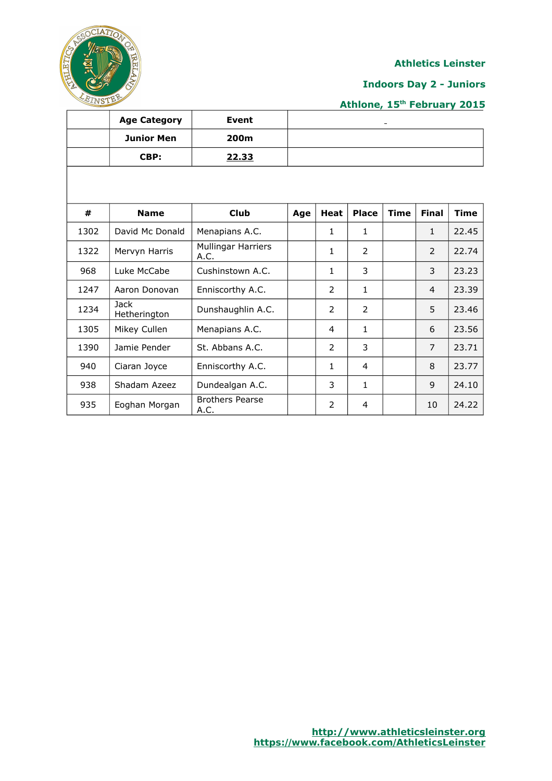

## **Indoors Day 2 - Juniors**

|      | <b>Age Category</b>         | <b>Event</b>                   |     |                |                |             |                |             |
|------|-----------------------------|--------------------------------|-----|----------------|----------------|-------------|----------------|-------------|
|      | <b>Junior Men</b>           | 200m                           |     |                |                |             |                |             |
|      | CBP:                        | 22.33                          |     |                |                |             |                |             |
|      |                             |                                |     |                |                |             |                |             |
|      |                             |                                |     |                |                |             |                |             |
| #    | <b>Name</b>                 | <b>Club</b>                    | Age | <b>Heat</b>    | <b>Place</b>   | <b>Time</b> | <b>Final</b>   | <b>Time</b> |
| 1302 | David Mc Donald             | Menapians A.C.                 |     | 1              | $\mathbf{1}$   |             | $\mathbf{1}$   | 22.45       |
| 1322 | Mervyn Harris               | Mullingar Harriers<br>A.C.     |     | 1              | $\overline{2}$ |             | 2              | 22.74       |
| 968  | Luke McCabe                 | Cushinstown A.C.               |     | 1              | 3              |             | 3              | 23.23       |
| 1247 | Aaron Donovan               | Enniscorthy A.C.               |     | $\overline{2}$ | $\mathbf{1}$   |             | $\overline{4}$ | 23.39       |
| 1234 | <b>Jack</b><br>Hetherington | Dunshaughlin A.C.              |     | $\overline{2}$ | $\overline{2}$ |             | 5              | 23.46       |
| 1305 | Mikey Cullen                | Menapians A.C.                 |     | $\overline{4}$ | $\mathbf{1}$   |             | 6              | 23.56       |
| 1390 | Jamie Pender                | St. Abbans A.C.                |     | $\overline{2}$ | 3              |             | $\overline{7}$ | 23.71       |
| 940  | Ciaran Joyce                | Enniscorthy A.C.               |     | 1              | 4              |             | 8              | 23.77       |
| 938  | Shadam Azeez                | Dundealgan A.C.                |     | 3              | 1              |             | 9              | 24.10       |
| 935  | Eoghan Morgan               | <b>Brothers Pearse</b><br>A.C. |     | 2              | 4              |             | 10             | 24.22       |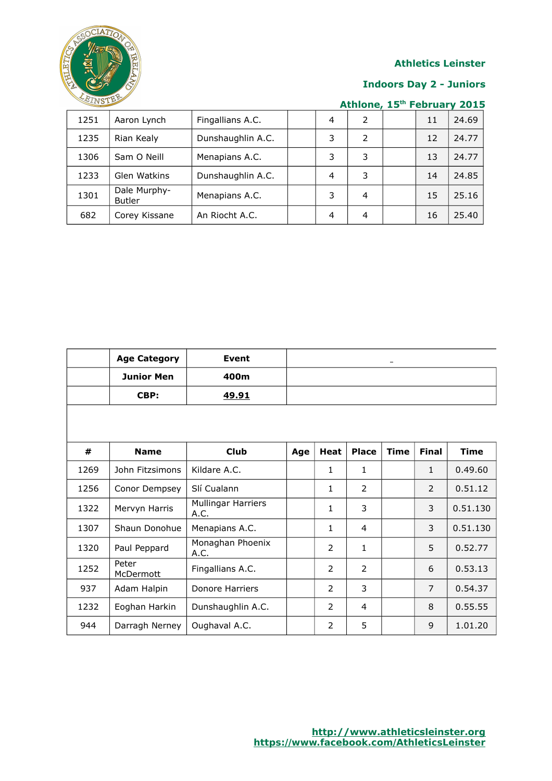

#### **Indoors Day 2 - Juniors**

| 1251 | Aaron Lynch                   | Fingallians A.C.  | $\overline{4}$ | 2 | 11 | 24.69 |
|------|-------------------------------|-------------------|----------------|---|----|-------|
| 1235 | Rian Kealy                    | Dunshaughlin A.C. | 3              | 2 | 12 | 24.77 |
| 1306 | Sam O Neill                   | Menapians A.C.    | 3              | 3 | 13 | 24.77 |
| 1233 | Glen Watkins                  | Dunshaughlin A.C. | 4              | 3 | 14 | 24.85 |
| 1301 | Dale Murphy-<br><b>Butler</b> | Menapians A.C.    | 3              | 4 | 15 | 25.16 |
| 682  | Corey Kissane                 | An Riocht A.C.    | 4              | 4 | 16 | 25.40 |

|      | <b>Age Category</b> | <b>Event</b>                      |     |                |                |             |              |             |
|------|---------------------|-----------------------------------|-----|----------------|----------------|-------------|--------------|-------------|
|      | <b>Junior Men</b>   | 400m                              |     |                |                |             |              |             |
|      | CBP:                | <u>49.91</u>                      |     |                |                |             |              |             |
|      |                     |                                   |     |                |                |             |              |             |
|      |                     |                                   |     |                |                |             |              |             |
| #    | <b>Name</b>         | <b>Club</b>                       | Age | <b>Heat</b>    | <b>Place</b>   | <b>Time</b> | <b>Final</b> | <b>Time</b> |
| 1269 | John Fitzsimons     | Kildare A.C.                      |     | 1              | 1              |             | $\mathbf{1}$ | 0.49.60     |
| 1256 | Conor Dempsey       | Slí Cualann                       |     | 1              | $\overline{2}$ |             | 2            | 0.51.12     |
| 1322 | Mervyn Harris       | <b>Mullingar Harriers</b><br>A.C. |     | 1              | 3              |             | 3            | 0.51.130    |
| 1307 | Shaun Donohue       | Menapians A.C.                    |     | $\mathbf{1}$   | 4              |             | 3            | 0.51.130    |
| 1320 | Paul Peppard        | Monaghan Phoenix<br>A.C.          |     | 2              | $\mathbf{1}$   |             | 5            | 0.52.77     |
| 1252 | Peter<br>McDermott  | Fingallians A.C.                  |     | $\overline{2}$ | $\overline{2}$ |             | 6            | 0.53.13     |
| 937  | Adam Halpin         | Donore Harriers                   |     | 2              | 3              |             | 7            | 0.54.37     |
| 1232 | Eoghan Harkin       | Dunshaughlin A.C.                 |     | $\overline{2}$ | $\overline{4}$ |             | 8            | 0.55.55     |
| 944  | Darragh Nerney      | Oughaval A.C.                     |     | $\overline{2}$ | 5              |             | 9            | 1.01.20     |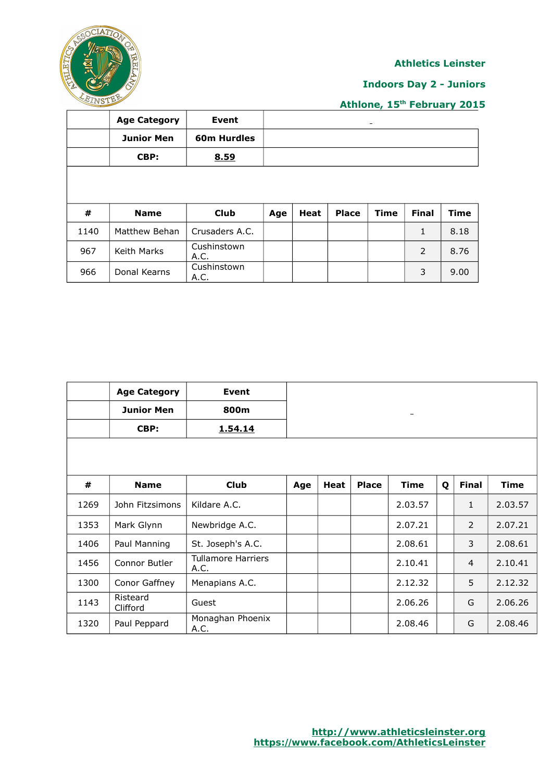

# **Indoors Day 2 - Juniors**

|      | <b>Age Category</b> | <b>Event</b>       |     |      |              | $\qquad \qquad$ |              |             |
|------|---------------------|--------------------|-----|------|--------------|-----------------|--------------|-------------|
|      | <b>Junior Men</b>   | <b>60m Hurdles</b> |     |      |              |                 |              |             |
|      | CBP:                | 8.59               |     |      |              |                 |              |             |
|      |                     |                    |     |      |              |                 |              |             |
|      |                     |                    |     |      |              |                 |              |             |
| #    | <b>Name</b>         | <b>Club</b>        | Age | Heat | <b>Place</b> | <b>Time</b>     | <b>Final</b> | <b>Time</b> |
| 1140 | Matthew Behan       | Crusaders A.C.     |     |      |              |                 | 1            | 8.18        |
| 967  | Keith Marks         | Cushinstown        |     |      |              |                 | 2            |             |
|      |                     | A.C.               |     |      |              |                 |              | 8.76        |

|      | <b>Age Category</b>  | <b>Event</b>                      |     |             |              |             |   |                |             |
|------|----------------------|-----------------------------------|-----|-------------|--------------|-------------|---|----------------|-------------|
|      | <b>Junior Men</b>    | 800m                              |     |             |              |             |   |                |             |
|      | CBP:                 | 1.54.14                           |     |             |              |             |   |                |             |
|      |                      |                                   |     |             |              |             |   |                |             |
|      |                      |                                   |     |             |              |             |   |                |             |
| #    | <b>Name</b>          | <b>Club</b>                       | Age | <b>Heat</b> | <b>Place</b> | <b>Time</b> | Q | <b>Final</b>   | <b>Time</b> |
| 1269 | John Fitzsimons      | Kildare A.C.                      |     |             |              | 2.03.57     |   | $\mathbf{1}$   | 2.03.57     |
| 1353 | Mark Glynn           | Newbridge A.C.                    |     |             |              | 2.07.21     |   | $\overline{2}$ | 2.07.21     |
| 1406 | Paul Manning         | St. Joseph's A.C.                 |     |             |              | 2.08.61     |   | 3              | 2.08.61     |
| 1456 | Connor Butler        | <b>Tullamore Harriers</b><br>A.C. |     |             |              | 2.10.41     |   | $\overline{4}$ | 2.10.41     |
| 1300 | Conor Gaffney        | Menapians A.C.                    |     |             |              | 2.12.32     |   | 5              | 2.12.32     |
| 1143 | Risteard<br>Clifford | Guest                             |     |             |              | 2.06.26     |   | G              | 2.06.26     |
| 1320 | Paul Peppard         | Monaghan Phoenix<br>A.C.          |     |             |              | 2.08.46     |   | G              | 2.08.46     |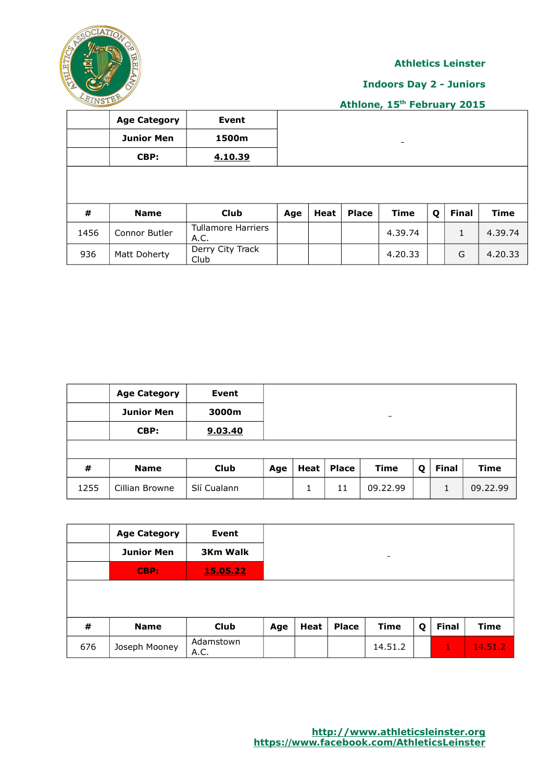

## **Indoors Day 2 - Juniors**

|      | <b>Age Category</b> | Event                             |     |      |              |             |   |              |             |
|------|---------------------|-----------------------------------|-----|------|--------------|-------------|---|--------------|-------------|
|      | <b>Junior Men</b>   | 1500m                             |     |      |              | -           |   |              |             |
|      | CBP:                | 4.10.39                           |     |      |              |             |   |              |             |
|      |                     |                                   |     |      |              |             |   |              |             |
|      |                     |                                   |     |      |              |             |   |              |             |
| #    | <b>Name</b>         | <b>Club</b>                       | Age | Heat | <b>Place</b> | <b>Time</b> | Q | <b>Final</b> | <b>Time</b> |
| 1456 | Connor Butler       | <b>Tullamore Harriers</b><br>A.C. |     |      |              | 4.39.74     |   | $\mathbf{1}$ | 4.39.74     |
| 936  | Matt Doherty        | Derry City Track<br>Club          |     |      |              | 4.20.33     |   | G            | 4.20.33     |

|      | <b>Age Category</b> | Event       |     |          |       |                          |   |              |          |
|------|---------------------|-------------|-----|----------|-------|--------------------------|---|--------------|----------|
|      | <b>Junior Men</b>   | 3000m       |     |          |       | $\overline{\phantom{0}}$ |   |              |          |
|      | CBP:                | 9.03.40     |     |          |       |                          |   |              |          |
|      |                     |             |     |          |       |                          |   |              |          |
| #    | <b>Name</b>         | Club        | Age | Heat $ $ | Place | <b>Time</b>              | Q | <b>Final</b> | Time     |
| 1255 | Cillian Browne      | Slí Cualann |     | 1        | 11    | 09.22.99                 |   |              | 09.22.99 |

|     | <b>Age Category</b> | Event             |     |      |              |                          |   |              |             |
|-----|---------------------|-------------------|-----|------|--------------|--------------------------|---|--------------|-------------|
|     | <b>Junior Men</b>   | <b>3Km Walk</b>   |     |      |              | $\overline{\phantom{a}}$ |   |              |             |
|     | CBP:                | 15.05.22          |     |      |              |                          |   |              |             |
|     |                     |                   |     |      |              |                          |   |              |             |
|     |                     |                   |     |      |              |                          |   |              |             |
| #   | <b>Name</b>         | <b>Club</b>       | Age | Heat | <b>Place</b> | <b>Time</b>              | Q | <b>Final</b> | <b>Time</b> |
| 676 | Joseph Mooney       | Adamstown<br>A.C. |     |      |              | 14.51.2                  |   | 1            | 14.51.2     |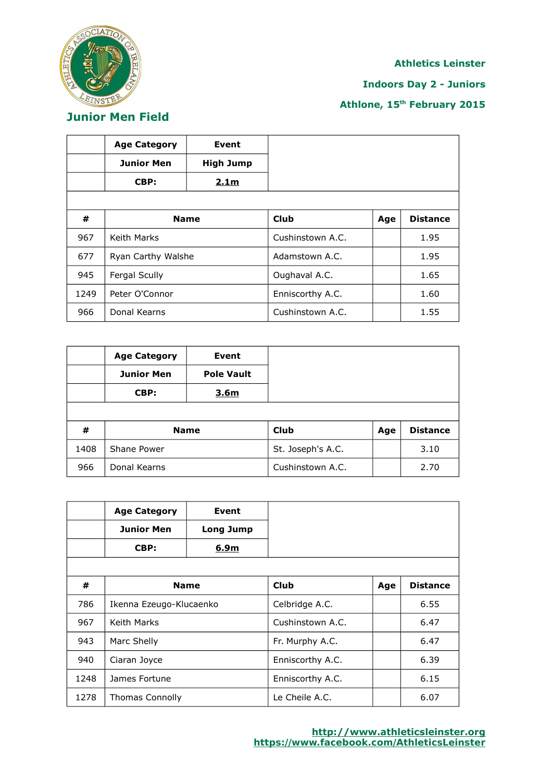

## **Indoors Day 2 - Juniors**

# **Athlone, 15th February 2015**

**Junior Men Field**

|      | <b>Age Category</b> | Event            |                  |     |                 |
|------|---------------------|------------------|------------------|-----|-----------------|
|      | <b>Junior Men</b>   | <b>High Jump</b> |                  |     |                 |
|      | CBP:                | 2.1 <sub>m</sub> |                  |     |                 |
|      |                     |                  |                  |     |                 |
| #    | <b>Name</b>         |                  | Club             | Age | <b>Distance</b> |
| 967  | Keith Marks         |                  | Cushinstown A.C. |     | 1.95            |
| 677  | Ryan Carthy Walshe  |                  | Adamstown A.C.   |     | 1.95            |
| 945  | Fergal Scully       |                  | Oughaval A.C.    |     | 1.65            |
| 1249 | Peter O'Connor      |                  | Enniscorthy A.C. |     | 1.60            |
| 966  | Donal Kearns        |                  | Cushinstown A.C. |     | 1.55            |

|      | <b>Age Category</b> | Event             |                   |     |                 |
|------|---------------------|-------------------|-------------------|-----|-----------------|
|      | <b>Junior Men</b>   | <b>Pole Vault</b> |                   |     |                 |
|      | CBP:                | 3.6 <sub>m</sub>  |                   |     |                 |
|      |                     |                   |                   |     |                 |
| #    |                     | <b>Name</b>       | Club              | Age | <b>Distance</b> |
| 1408 | Shane Power         |                   | St. Joseph's A.C. |     | 3.10            |
| 966  | Donal Kearns        |                   | Cushinstown A.C.  |     | 2.70            |

|      | <b>Age Category</b>     | <b>Event</b>     |                  |     |                 |
|------|-------------------------|------------------|------------------|-----|-----------------|
|      | <b>Junior Men</b>       | <b>Long Jump</b> |                  |     |                 |
|      | CBP:                    | 6.9m             |                  |     |                 |
|      |                         |                  |                  |     |                 |
| #    |                         | <b>Name</b>      | Club             | Age | <b>Distance</b> |
| 786  | Ikenna Ezeugo-Klucaenko |                  | Celbridge A.C.   |     | 6.55            |
| 967  | Keith Marks             |                  | Cushinstown A.C. |     | 6.47            |
| 943  | Marc Shelly             |                  | Fr. Murphy A.C.  |     | 6.47            |
| 940  | Ciaran Joyce            |                  | Enniscorthy A.C. |     | 6.39            |
| 1248 | James Fortune           |                  | Enniscorthy A.C. |     | 6.15            |
| 1278 | <b>Thomas Connolly</b>  |                  | Le Cheile A.C.   |     | 6.07            |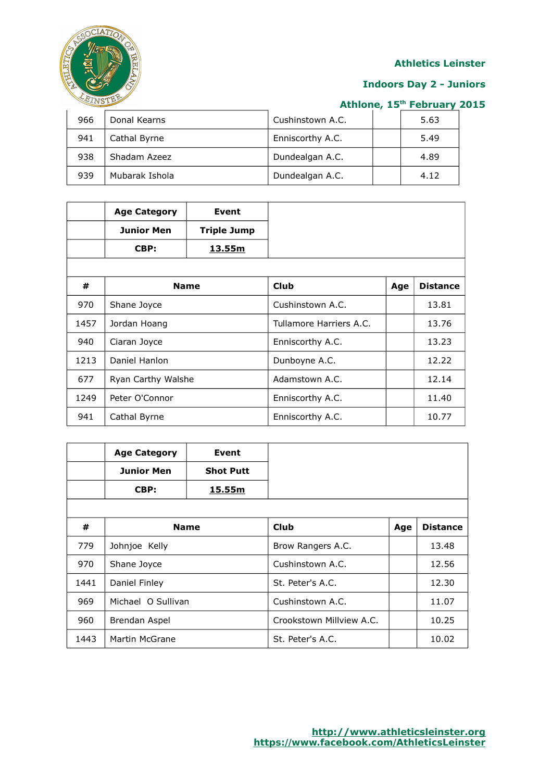

# **Indoors Day 2 - Juniors**

| 966 | Donal Kearns   | Cushinstown A.C. | 5.63 |
|-----|----------------|------------------|------|
| 941 | Cathal Byrne   | Enniscorthy A.C. | 5.49 |
| 938 | Shadam Azeez   | Dundealgan A.C.  | 4.89 |
| 939 | Mubarak Ishola | Dundealgan A.C.  | 4.12 |

|      | <b>Age Category</b> | <b>Event</b>  |                         |     |                 |
|------|---------------------|---------------|-------------------------|-----|-----------------|
|      | Junior Men          | Triple Jump   |                         |     |                 |
|      | CBP:                | <u>13.55m</u> |                         |     |                 |
|      |                     |               |                         |     |                 |
| #    | <b>Name</b>         |               | Club                    | Age | <b>Distance</b> |
| 970  | Shane Joyce         |               | Cushinstown A.C.        |     | 13.81           |
| 1457 | Jordan Hoang        |               | Tullamore Harriers A.C. |     | 13.76           |
| 940  | Ciaran Joyce        |               | Enniscorthy A.C.        |     | 13.23           |
| 1213 | Daniel Hanlon       |               | Dunboyne A.C.           |     | 12.22           |
| 677  | Ryan Carthy Walshe  |               | Adamstown A.C.          |     | 12.14           |
| 1249 | Peter O'Connor      |               | Enniscorthy A.C.        |     | 11.40           |
| 941  | Cathal Byrne        |               | Enniscorthy A.C.        |     | 10.77           |

|      | <b>Age Category</b> | Event            |                          |     |                 |
|------|---------------------|------------------|--------------------------|-----|-----------------|
|      | <b>Junior Men</b>   | <b>Shot Putt</b> |                          |     |                 |
|      | CBP:                | 15.55m           |                          |     |                 |
|      |                     |                  |                          |     |                 |
| #    |                     | <b>Name</b>      | Club                     | Age | <b>Distance</b> |
| 779  | Johnjoe Kelly       |                  | Brow Rangers A.C.        |     | 13.48           |
| 970  | Shane Joyce         |                  | Cushinstown A.C.         |     | 12.56           |
| 1441 | Daniel Finley       |                  | St. Peter's A.C.         |     | 12.30           |
| 969  | Michael O Sullivan  |                  | Cushinstown A.C.         |     | 11.07           |
| 960  | Brendan Aspel       |                  | Crookstown Millview A.C. |     | 10.25           |
| 1443 | Martin McGrane      |                  | St. Peter's A.C.         |     | 10.02           |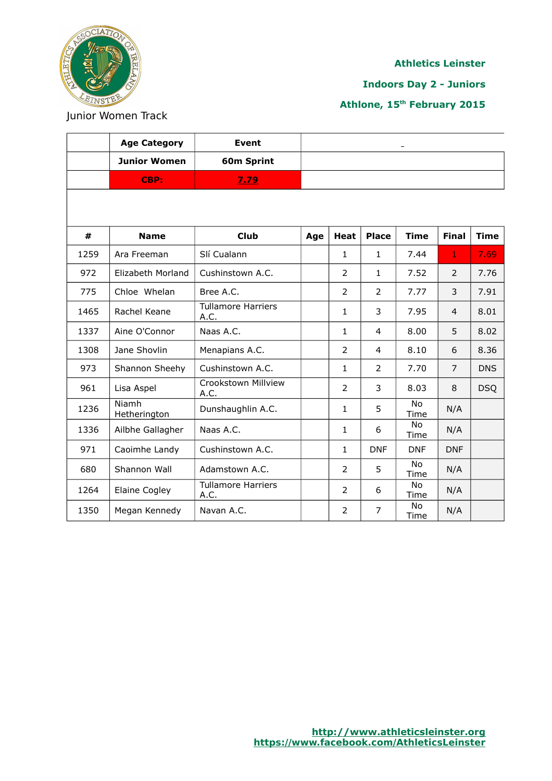

 $\Gamma$ 

#### **Athletics Leinster**

**Indoors Day 2 - Juniors**

**Athlone, 15th February 2015**

Junior Women Track

|      | <b>Age Category</b>   | <b>Event</b>                      |     |                |                |                   |                |             |
|------|-----------------------|-----------------------------------|-----|----------------|----------------|-------------------|----------------|-------------|
|      | <b>Junior Women</b>   | 60m Sprint                        |     |                |                |                   |                |             |
|      | CBP:                  | 7.79                              |     |                |                |                   |                |             |
|      |                       |                                   |     |                |                |                   |                |             |
| #    | <b>Name</b>           | <b>Club</b>                       | Age | <b>Heat</b>    | <b>Place</b>   | <b>Time</b>       | <b>Final</b>   | <b>Time</b> |
| 1259 | Ara Freeman           | Slí Cualann                       |     | $\mathbf{1}$   | $\mathbf{1}$   | 7.44              | $\mathbf{1}$   | 7.69        |
| 972  | Elizabeth Morland     | Cushinstown A.C.                  |     | $\overline{2}$ | $\mathbf{1}$   | 7.52              | 2              | 7.76        |
| 775  | Chloe Whelan          | Bree A.C.                         |     | $\overline{2}$ | $\overline{2}$ | 7.77              | 3              | 7.91        |
| 1465 | Rachel Keane          | <b>Tullamore Harriers</b><br>A.C. |     | $\mathbf{1}$   | 3              | 7.95              | $\overline{4}$ | 8.01        |
| 1337 | Aine O'Connor         | Naas A.C.                         |     | $\mathbf{1}$   | $\overline{4}$ | 8.00              | 5              | 8.02        |
| 1308 | Jane Shovlin          | Menapians A.C.                    |     | $\overline{2}$ | $\overline{4}$ | 8.10              | 6              | 8.36        |
| 973  | Shannon Sheehy        | Cushinstown A.C.                  |     | $\mathbf{1}$   | $\overline{2}$ | 7.70              | $\overline{7}$ | <b>DNS</b>  |
| 961  | Lisa Aspel            | Crookstown Millview<br>A.C.       |     | 2              | 3              | 8.03              | 8              | <b>DSQ</b>  |
| 1236 | Niamh<br>Hetherington | Dunshaughlin A.C.                 |     | $\mathbf{1}$   | 5              | <b>No</b><br>Time | N/A            |             |
| 1336 | Ailbhe Gallagher      | Naas A.C.                         |     | $\mathbf{1}$   | 6              | No<br>Time        | N/A            |             |
| 971  | Caoimhe Landy         | Cushinstown A.C.                  |     | $\mathbf{1}$   | <b>DNF</b>     | <b>DNF</b>        | <b>DNF</b>     |             |
| 680  | Shannon Wall          | Adamstown A.C.                    |     | $\overline{2}$ | 5              | <b>No</b><br>Time | N/A            |             |
| 1264 | Elaine Cogley         | <b>Tullamore Harriers</b><br>A.C. |     | $\overline{2}$ | 6              | No<br>Time        | N/A            |             |
| 1350 | Megan Kennedy         | Navan A.C.                        |     | $\overline{2}$ | $\overline{7}$ | No<br>Time        | N/A            |             |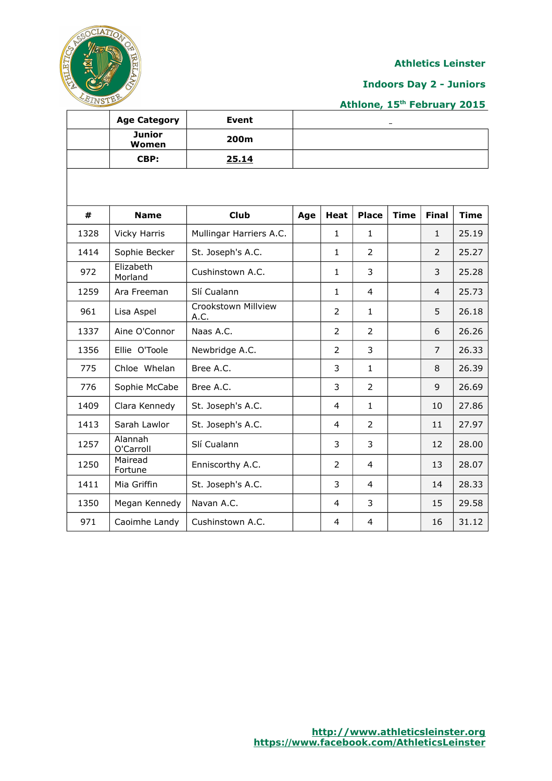

#### **Indoors Day 2 - Juniors**

|      | <b>Age Category</b>    | <b>Event</b>                |     |                |                |             |                |             |
|------|------------------------|-----------------------------|-----|----------------|----------------|-------------|----------------|-------------|
|      | <b>Junior</b><br>Women | 200m                        |     |                |                |             |                |             |
|      | CBP:                   | 25.14                       |     |                |                |             |                |             |
|      |                        |                             |     |                |                |             |                |             |
|      |                        |                             |     |                |                |             |                |             |
| #    | <b>Name</b>            | <b>Club</b>                 | Age | <b>Heat</b>    | <b>Place</b>   | <b>Time</b> | <b>Final</b>   | <b>Time</b> |
| 1328 | <b>Vicky Harris</b>    | Mullingar Harriers A.C.     |     | $\mathbf{1}$   | $\mathbf{1}$   |             | $\mathbf{1}$   | 25.19       |
| 1414 | Sophie Becker          | St. Joseph's A.C.           |     | 1              | 2              |             | $\overline{2}$ | 25.27       |
| 972  | Elizabeth<br>Morland   | Cushinstown A.C.            |     | $\mathbf{1}$   | 3              |             | 3              | 25.28       |
| 1259 | Ara Freeman            | Slí Cualann                 |     | $\mathbf{1}$   | $\overline{4}$ |             | $\overline{4}$ | 25.73       |
| 961  | Lisa Aspel             | Crookstown Millview<br>A.C. |     | $\overline{2}$ | $\mathbf{1}$   |             | 5              | 26.18       |
| 1337 | Aine O'Connor          | Naas A.C.                   |     | 2              | 2              |             | 6              | 26.26       |
| 1356 | Ellie O'Toole          | Newbridge A.C.              |     | $\overline{2}$ | 3              |             | $\overline{7}$ | 26.33       |
| 775  | Chloe Whelan           | Bree A.C.                   |     | 3              | $\mathbf{1}$   |             | 8              | 26.39       |
| 776  | Sophie McCabe          | Bree A.C.                   |     | 3              | $\overline{2}$ |             | 9              | 26.69       |
| 1409 | Clara Kennedy          | St. Joseph's A.C.           |     | 4              | $\mathbf{1}$   |             | 10             | 27.86       |
| 1413 | Sarah Lawlor           | St. Joseph's A.C.           |     | $\overline{4}$ | $\overline{2}$ |             | 11             | 27.97       |
| 1257 | Alannah<br>O'Carroll   | Slí Cualann                 |     | 3              | 3              |             | 12             | 28.00       |
| 1250 | Mairead<br>Fortune     | Enniscorthy A.C.            |     | 2              | $\overline{4}$ |             | 13             | 28.07       |
| 1411 | Mia Griffin            | St. Joseph's A.C.           |     | 3              | $\overline{4}$ |             | 14             | 28.33       |
| 1350 | Megan Kennedy          | Navan A.C.                  |     | 4              | 3              |             | 15             | 29.58       |
| 971  | Caoimhe Landy          | Cushinstown A.C.            |     | 4              | $\overline{4}$ |             | 16             | 31.12       |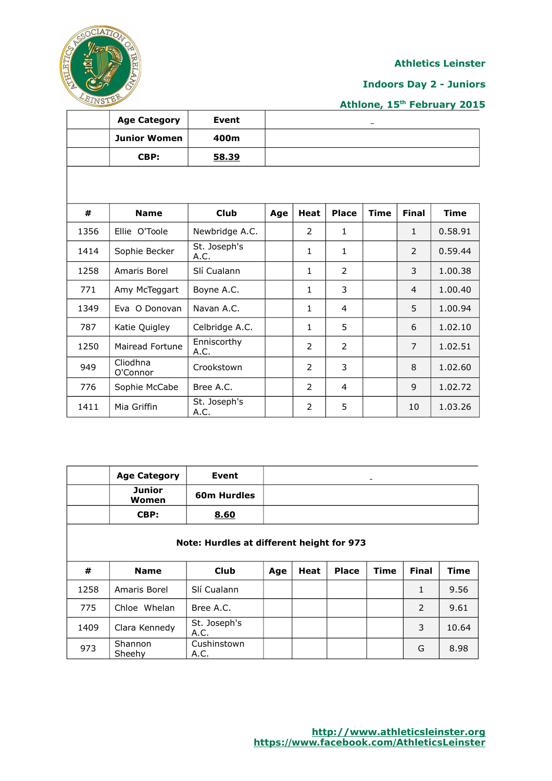

## **Indoors Day 2 - Juniors**

|      | <b>Age Category</b>  | Event                |     |                |                |             |                |             |
|------|----------------------|----------------------|-----|----------------|----------------|-------------|----------------|-------------|
|      | <b>Junior Women</b>  | 400m                 |     |                |                |             |                |             |
|      | CBP:                 | 58.39                |     |                |                |             |                |             |
|      |                      |                      |     |                |                |             |                |             |
|      |                      |                      |     |                |                |             |                |             |
| #    | <b>Name</b>          | <b>Club</b>          | Age | <b>Heat</b>    | <b>Place</b>   | <b>Time</b> | <b>Final</b>   | <b>Time</b> |
| 1356 | Ellie O'Toole        | Newbridge A.C.       |     | $\overline{2}$ | 1              |             | $\mathbf{1}$   | 0.58.91     |
| 1414 | Sophie Becker        | St. Joseph's<br>A.C. |     | 1              | 1              |             | 2              | 0.59.44     |
| 1258 | Amaris Borel         | Slí Cualann          |     | 1              | $\overline{2}$ |             | 3              | 1.00.38     |
| 771  | Amy McTeggart        | Boyne A.C.           |     | 1              | 3              |             | $\overline{4}$ | 1.00.40     |
| 1349 | Eva O Donovan        | Navan A.C.           |     | 1              | 4              |             | 5              | 1.00.94     |
| 787  | Katie Quigley        | Celbridge A.C.       |     | 1              | 5              |             | 6              | 1.02.10     |
| 1250 | Mairead Fortune      | Enniscorthy<br>A.C.  |     | 2              | $\overline{2}$ |             | 7              | 1.02.51     |
| 949  | Cliodhna<br>O'Connor | Crookstown           |     | 2              | 3              |             | 8              | 1.02.60     |
| 776  | Sophie McCabe        | Bree A.C.            |     | 2              | 4              |             | 9              | 1.02.72     |
| 1411 | Mia Griffin          | St. Joseph's<br>A.C. |     | $\overline{2}$ | 5              |             | 10             | 1.03.26     |

|      | <b>Age Category</b>    | Event                                     |     |      |              |             |              |             |
|------|------------------------|-------------------------------------------|-----|------|--------------|-------------|--------------|-------------|
|      | <b>Junior</b><br>Women | 60m Hurdles                               |     |      |              |             |              |             |
|      | CBP:                   | 8.60                                      |     |      |              |             |              |             |
|      |                        | Note: Hurdles at different height for 973 |     |      |              |             |              |             |
| #    | <b>Name</b>            | <b>Club</b>                               | Age | Heat | <b>Place</b> | <b>Time</b> | <b>Final</b> | <b>Time</b> |
| 1258 | Amaris Borel           | Slí Cualann                               |     |      |              |             | $\mathbf{1}$ | 9.56        |
| 775  | Chloe Whelan           | Bree A.C.                                 |     |      |              |             | 2            | 9.61        |
| 1409 | Clara Kennedy          | St. Joseph's                              |     |      |              |             | 3            | 10.64       |
|      |                        | A.C.                                      |     |      |              |             |              |             |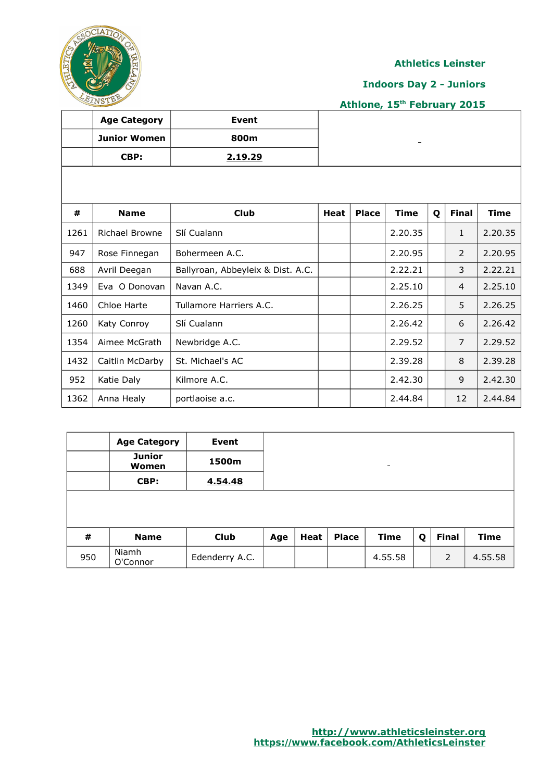

#### **Indoors Day 2 - Juniors**

|      | <b>Age Category</b>   | Event                             |      |              |             |   |                |             |
|------|-----------------------|-----------------------------------|------|--------------|-------------|---|----------------|-------------|
|      | <b>Junior Women</b>   | 800m                              |      |              |             |   |                |             |
|      | CBP:                  | 2.19.29                           |      |              |             |   |                |             |
|      |                       |                                   |      |              |             |   |                |             |
|      |                       |                                   |      |              |             |   |                |             |
| #    | <b>Name</b>           | <b>Club</b>                       | Heat | <b>Place</b> | <b>Time</b> | Q | <b>Final</b>   | <b>Time</b> |
| 1261 | <b>Richael Browne</b> | Slí Cualann                       |      |              | 2.20.35     |   | $\mathbf{1}$   | 2.20.35     |
| 947  | Rose Finnegan         | Bohermeen A.C.                    |      |              | 2.20.95     |   | $\mathcal{P}$  | 2.20.95     |
| 688  | Avril Deegan          | Ballyroan, Abbeyleix & Dist. A.C. |      |              | 2.22.21     |   | 3              | 2.22.21     |
| 1349 | Eva O Donovan         | Navan A.C.                        |      |              | 2.25.10     |   | $\overline{4}$ | 2.25.10     |
| 1460 | Chloe Harte           | Tullamore Harriers A.C.           |      |              | 2.26.25     |   | 5              | 2.26.25     |
| 1260 | Katy Conroy           | Slí Cualann                       |      |              | 2.26.42     |   | 6              | 2.26.42     |
| 1354 | Aimee McGrath         | Newbridge A.C.                    |      |              | 2.29.52     |   | $\overline{7}$ | 2.29.52     |
| 1432 | Caitlin McDarby       | St. Michael's AC                  |      |              | 2.39.28     |   | 8              | 2.39.28     |
| 952  | Katie Daly            | Kilmore A.C.                      |      |              | 2.42.30     |   | 9              | 2.42.30     |
| 1362 | Anna Healy            | portlaoise a.c.                   |      |              | 2.44.84     |   | 12             | 2.44.84     |

|     | <b>Age Category</b>           | <b>Event</b>   |     |      |              |                              |   |              |             |
|-----|-------------------------------|----------------|-----|------|--------------|------------------------------|---|--------------|-------------|
|     | <b>Junior</b><br><b>Women</b> | 1500m          |     |      |              | $\qquad \qquad \blacksquare$ |   |              |             |
|     | CBP:                          | 4.54.48        |     |      |              |                              |   |              |             |
|     |                               |                |     |      |              |                              |   |              |             |
| #   | <b>Name</b>                   | <b>Club</b>    | Age | Heat | <b>Place</b> | Time                         | Q | <b>Final</b> | <b>Time</b> |
| 950 | Niamh<br>O'Connor             | Edenderry A.C. |     |      |              | 4.55.58                      |   | 2            | 4.55.58     |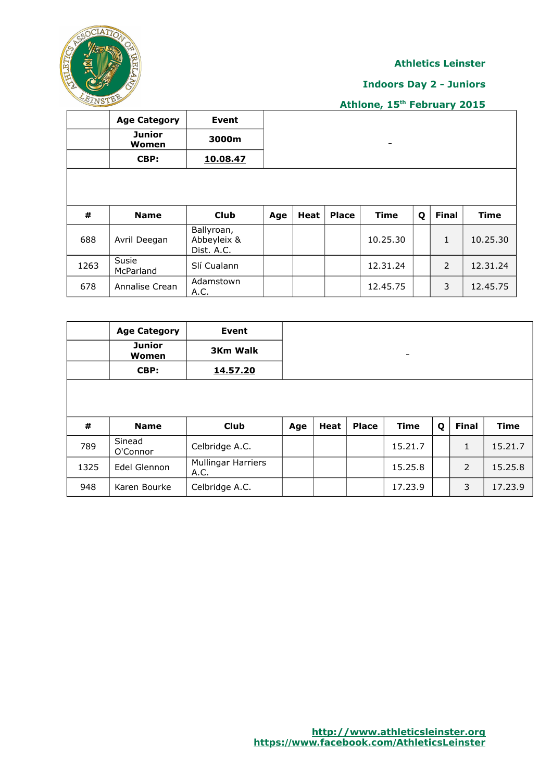

## **Indoors Day 2 - Juniors**

|      | <b>Age Category</b>    | <b>Event</b>                            |     |             |              |                          |   |               |             |
|------|------------------------|-----------------------------------------|-----|-------------|--------------|--------------------------|---|---------------|-------------|
|      | <b>Junior</b><br>Women | 3000m                                   |     |             |              | $\overline{\phantom{m}}$ |   |               |             |
|      | CBP:                   | 10.08.47                                |     |             |              |                          |   |               |             |
|      |                        |                                         |     |             |              |                          |   |               |             |
|      |                        |                                         |     |             |              |                          |   |               |             |
|      |                        |                                         |     |             |              |                          |   |               |             |
| #    | <b>Name</b>            | <b>Club</b>                             | Age | <b>Heat</b> | <b>Place</b> | <b>Time</b>              | Q | <b>Final</b>  | <b>Time</b> |
| 688  | Avril Deegan           | Ballyroan,<br>Abbeyleix &<br>Dist. A.C. |     |             |              | 10.25.30                 |   | $\mathbf{1}$  | 10.25.30    |
| 1263 | Susie<br>McParland     | Slí Cualann                             |     |             |              | 12.31.24                 |   | $\mathcal{P}$ | 12.31.24    |

|      | <b>Age Category</b>    | Event                             |     |      |              |                   |   |              |             |
|------|------------------------|-----------------------------------|-----|------|--------------|-------------------|---|--------------|-------------|
|      | <b>Junior</b><br>Women | <b>3Km Walk</b>                   |     |      |              | $\qquad \qquad -$ |   |              |             |
|      | CBP:                   | 14.57.20                          |     |      |              |                   |   |              |             |
|      |                        |                                   |     |      |              |                   |   |              |             |
|      |                        |                                   |     |      |              |                   |   |              |             |
| #    | <b>Name</b>            | <b>Club</b>                       | Age | Heat | <b>Place</b> | <b>Time</b>       | Q | <b>Final</b> | <b>Time</b> |
| 789  | Sinead<br>O'Connor     | Celbridge A.C.                    |     |      |              | 15.21.7           |   | 1            | 15.21.7     |
| 1325 | Edel Glennon           | <b>Mullingar Harriers</b><br>A.C. |     |      |              | 15.25.8           |   | 2            | 15.25.8     |
| 948  | Karen Bourke           | Celbridge A.C.                    |     |      |              | 17.23.9           |   | 3            | 17.23.9     |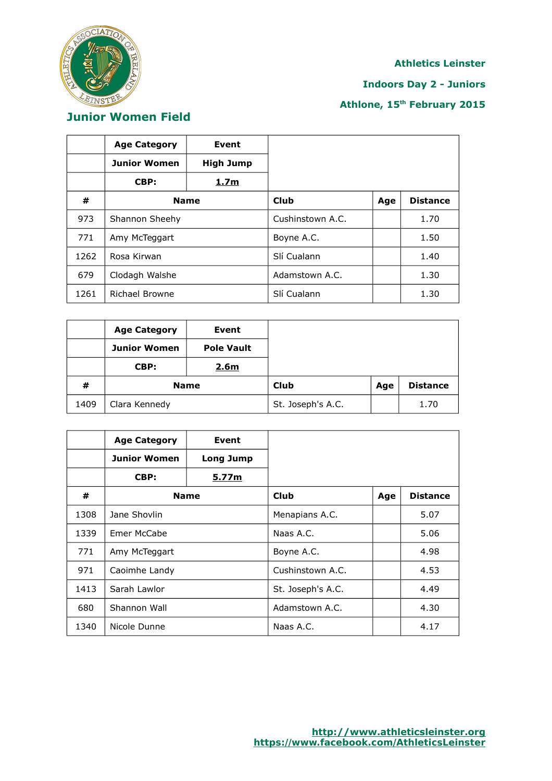

## **Indoors Day 2 - Juniors**

| <b>Junior Women Field</b> |  |
|---------------------------|--|
|                           |  |

|      | <b>Age Category</b>   | Event            |                  |     |                 |
|------|-----------------------|------------------|------------------|-----|-----------------|
|      | <b>Junior Women</b>   | <b>High Jump</b> |                  |     |                 |
|      | CBP:                  | 1.7 <sub>m</sub> |                  |     |                 |
| #    | <b>Name</b>           |                  | <b>Club</b>      | Age | <b>Distance</b> |
| 973  | Shannon Sheehy        |                  | Cushinstown A.C. |     | 1.70            |
| 771  | Amy McTeggart         |                  | Boyne A.C.       |     | 1.50            |
| 1262 | Rosa Kirwan           |                  | Slí Cualann      |     | 1.40            |
| 679  | Clodagh Walshe        |                  | Adamstown A.C.   |     | 1.30            |
| 1261 | <b>Richael Browne</b> |                  | Slí Cualann      |     | 1.30            |

|      | <b>Age Category</b> | Event             |                   |     |                 |
|------|---------------------|-------------------|-------------------|-----|-----------------|
|      | <b>Junior Women</b> | <b>Pole Vault</b> |                   |     |                 |
|      | CBP:                | 2.6 <sub>m</sub>  |                   |     |                 |
| #    | <b>Name</b>         |                   | Club              | Age | <b>Distance</b> |
| 1409 | Clara Kennedy       |                   | St. Joseph's A.C. |     | 1.70            |

|      | <b>Age Category</b> | Event     |                   |     |                 |
|------|---------------------|-----------|-------------------|-----|-----------------|
|      | <b>Junior Women</b> | Long Jump |                   |     |                 |
|      | CBP:                | 5.77m     |                   |     |                 |
| #    | <b>Name</b>         |           | Club              | Age | <b>Distance</b> |
| 1308 | Jane Shovlin        |           | Menapians A.C.    |     | 5.07            |
| 1339 | Emer McCabe         |           | Naas A.C.         |     | 5.06            |
| 771  | Amy McTeggart       |           | Boyne A.C.        |     | 4.98            |
| 971  | Caoimhe Landy       |           | Cushinstown A.C.  |     | 4.53            |
| 1413 | Sarah Lawlor        |           | St. Joseph's A.C. |     | 4.49            |
| 680  | Shannon Wall        |           | Adamstown A.C.    |     | 4.30            |
| 1340 | Nicole Dunne        |           | Naas A.C.         |     | 4.17            |